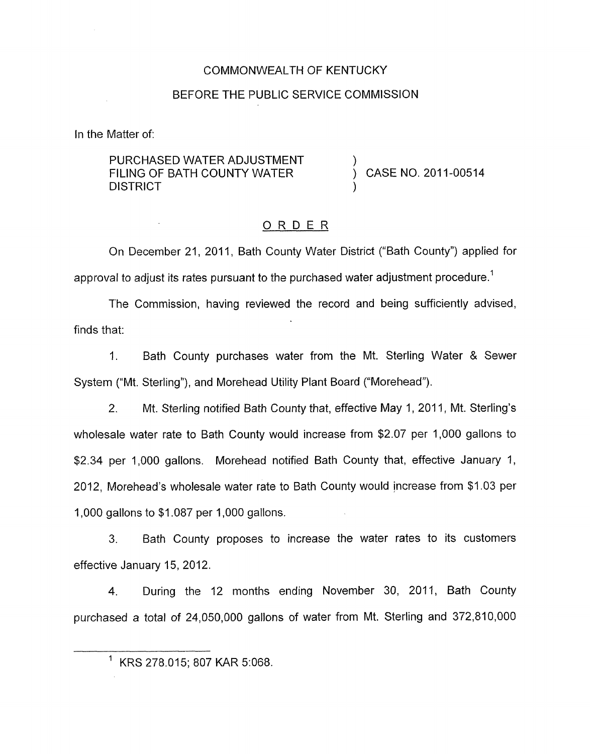#### COMMONWEALTH OF KENTUCKY

#### BEFORE THE PUBLIC SERVICE COMMISSION

In the Matter of:

PURCHASED WATER ADJUSTMENT FILING OF BATH COUNTY WATER  $\overrightarrow{)}$  CASE NO. 2011-00514 **DISTRICT** 

#### ORDER

On December 21, 2011, Bath County Water District ("Bath County") applied for approval to adjust its rates pursuant to the purchased water adjustment procedure.<sup>1</sup>

The Commission, having reviewed the record and being sufficiently advised, finds that:

1. Bath County purchases water from the Mt. Sterling Water & Sewer System ("Mt. Sterling"), and Morehead Utility Plant Board ("Morehead").

2. Mt. Sterling notified Bath County that, effective May 1, 2011, Mt. Sterling's wholesale water rate to Bath County would increase from \$2.07 per 1,000 gallons to \$2.34 per 1,000 gallons. Morehead notified Bath County that, effective January 1, 2012, Morehead's wholesale water rate to Bath County would increase from \$1.03 per 1,000 gallons to \$1.087 per 1,000 gallons.

3. Bath County proposes to increase the water rates to its customers effective January 15, 2012.

4. During the 12 months ending November 30, 2011, Bath County purchased a total *of* 24,050,000 gallons of water from Mt. Sterling and 372,810,000

 $1$  KRS 278.015; 807 KAR 5:068.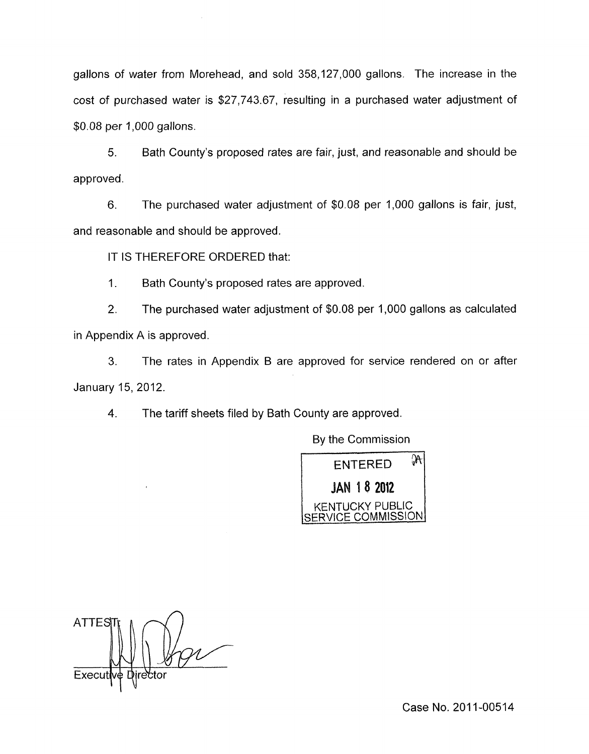gallons of water from Morehead, and sold 358,127,000 gallons. The increase in the cost of purchased water is \$27,743.67, resulting in a purchased water adjustment of \$0.08 per 1,000 gallons.

5. Bath County's proposed rates are fair, just, and reasonable and should be approved.

6. The purchased water adjustment of \$0.08 per 1,000 gallons is fair, just, and reasonable and should be approved.

IT **IS** THEREFORE ORDERED that:

 $\mathcal{A}$ 

1. Bath County's proposed rates are approved.

2. The purchased water adjustment of \$0.08 per 1,000 gallons as calculated in Appendix A is approved

**3.** The rates in Appendix B are approved for service rendered on or after January 15,2012.

4. The tariff sheets filed by Bath County are approved.

By the Commission



**ATTES** Execu

Case No. 2011-00514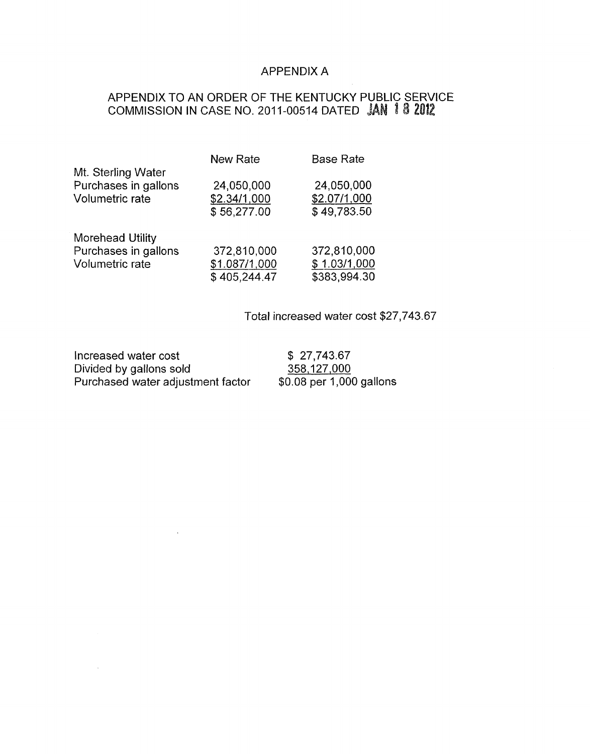### APPENDIX A

### APPENDIX TO AN ORDER OF THE KENTUCKY PUBLIC SERVICE COMMISSION IN CASE NO. 2011-00514 DATED

|                      | <b>New Rate</b> | <b>Base Rate</b> |
|----------------------|-----------------|------------------|
| Mt. Sterling Water   |                 |                  |
| Purchases in gallons | 24,050,000      | 24,050,000       |
| Volumetric rate      | \$2.34/1,000    | \$2.07/1,000     |
|                      | \$56,277.00     | \$49,783.50      |
| Morehead Utility     |                 |                  |
| Purchases in gallons | 372,810,000     | 372,810,000      |
| Volumetric rate      | \$1.087/1,000   | \$1.03/1,000     |
|                      | \$405,244.47    | \$383,994.30     |

Total increased water cost \$27,743.67

Increased water cost  $$ 27,743.67$ <br>Divided by gallons sold  $$ 358,127,000$ Divided by gallons sold 358,127,000<br>Purchased water adjustment factor \$0.08 per 1,000 gallons Purchased water adjustment factor

 $\sim$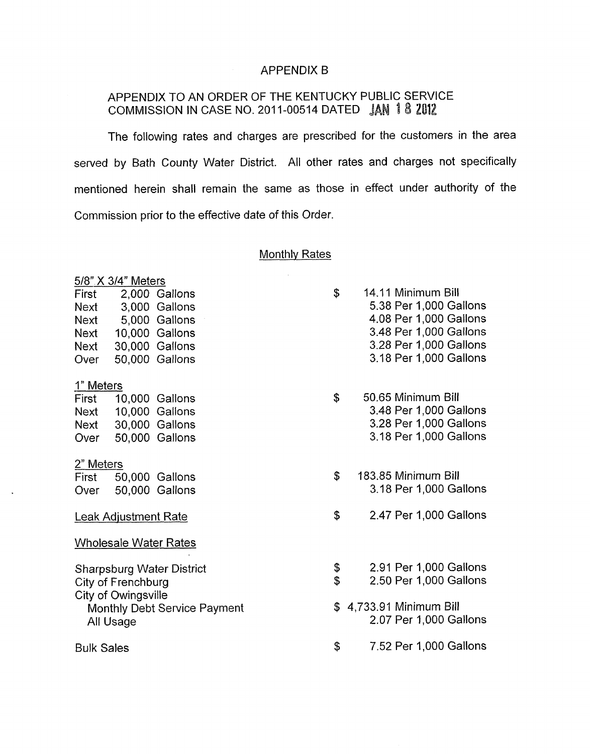## APPENDIX B

# APPENDIX TO AN ORDER OF THE KENTUCKY PUBLIC SERVICE COMMISSION IN CASE NO. 2011-00514 DATED JAN 18 2012

The following rates and charges are prescribed for the customers in the area served by Bath County Water District. All other rates and charges not specifically mentioned herein shall remain the same as those in effect under authority of the Commission prior to the effective date of this Order.

## Monthlv Rates

|                                                                    |                                                                                                                             | <b>Monthly Rates</b> |                                                                                                                                                      |
|--------------------------------------------------------------------|-----------------------------------------------------------------------------------------------------------------------------|----------------------|------------------------------------------------------------------------------------------------------------------------------------------------------|
| First<br><b>Next</b><br><b>Next</b><br>Next<br><b>Next</b><br>Over | 5/8" X 3/4" Meters<br>2,000 Gallons<br>3,000 Gallons<br>5,000 Gallons<br>10,000 Gallons<br>30,000 Gallons<br>50,000 Gallons | \$                   | 14.11 Minimum Bill<br>5.38 Per 1,000 Gallons<br>4.08 Per 1,000 Gallons<br>3.48 Per 1,000 Gallons<br>3.28 Per 1,000 Gallons<br>3.18 Per 1,000 Gallons |
| 1" Meters<br>First<br>Next<br>Over                                 | 10,000 Gallons<br>Next 10,000 Gallons<br>30,000 Gallons<br>50,000 Gallons                                                   | \$                   | 50.65 Minimum Bill<br>3.48 Per 1,000 Gallons<br>3.28 Per 1,000 Gallons<br>3.18 Per 1,000 Gallons                                                     |
| 2" Meters<br>First<br>Over                                         | 50,000 Gallons<br>50,000 Gallons                                                                                            | \$                   | 183.85 Minimum Bill<br>3.18 Per 1,000 Gallons                                                                                                        |
|                                                                    | <b>Leak Adjustment Rate</b>                                                                                                 | \$                   | 2.47 Per 1,000 Gallons                                                                                                                               |
| <b>Wholesale Water Rates</b>                                       |                                                                                                                             |                      |                                                                                                                                                      |
|                                                                    | <b>Sharpsburg Water District</b><br>City of Frenchburg<br>City of Owingsville                                               | \$<br>\$             | 2.91 Per 1,000 Gallons<br>2.50 Per 1,000 Gallons                                                                                                     |
|                                                                    | Monthly Debt Service Payment<br>All Usage                                                                                   | \$                   | 4,733.91 Minimum Bill<br>2.07 Per 1,000 Gallons                                                                                                      |
| <b>Bulk Sales</b>                                                  |                                                                                                                             | \$                   | 7.52 Per 1,000 Gallons                                                                                                                               |